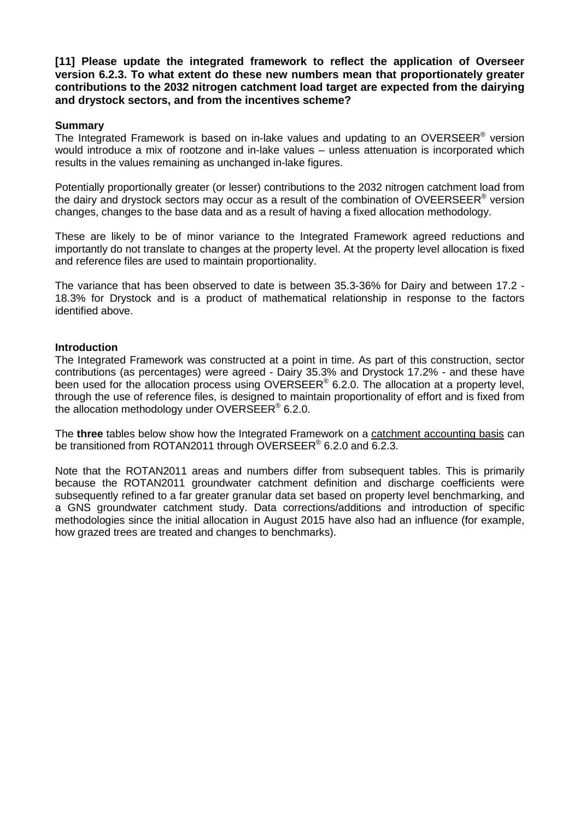**[11] Please update the integrated framework to reflect the application of Overseer version 6.2.3. To what extent do these new numbers mean that proportionately greater contributions to the 2032 nitrogen catchment load target are expected from the dairying and drystock sectors, and from the incentives scheme?**

# **Summary**

The Integrated Framework is based on in-lake values and updating to an OVERSEER<sup>®</sup> version would introduce a mix of rootzone and in-lake values – unless attenuation is incorporated which results in the values remaining as unchanged in-lake figures.

Potentially proportionally greater (or lesser) contributions to the 2032 nitrogen catchment load from the dairy and drystock sectors may occur as a result of the combination of OVEERSEER<sup>®</sup> version changes, changes to the base data and as a result of having a fixed allocation methodology.

These are likely to be of minor variance to the Integrated Framework agreed reductions and importantly do not translate to changes at the property level. At the property level allocation is fixed and reference files are used to maintain proportionality.

The variance that has been observed to date is between 35.3-36% for Dairy and between 17.2 - 18.3% for Drystock and is a product of mathematical relationship in response to the factors identified above.

# **Introduction**

The Integrated Framework was constructed at a point in time. As part of this construction, sector contributions (as percentages) were agreed - Dairy 35.3% and Drystock 17.2% - and these have been used for the allocation process using OVERSEER<sup>®</sup> 6.2.0. The allocation at a property level, through the use of reference files, is designed to maintain proportionality of effort and is fixed from the allocation methodology under OVERSEER<sup>®</sup> 6.2.0.

The **three** tables below show how the Integrated Framework on a catchment accounting basis can be transitioned from ROTAN2011 through OVERSEER<sup>®</sup> 6.2.0 and  $\overline{6.2.3}$ .

Note that the ROTAN2011 areas and numbers differ from subsequent tables. This is primarily because the ROTAN2011 groundwater catchment definition and discharge coefficients were subsequently refined to a far greater granular data set based on property level benchmarking, and a GNS groundwater catchment study. Data corrections/additions and introduction of specific methodologies since the initial allocation in August 2015 have also had an influence (for example, how grazed trees are treated and changes to benchmarks).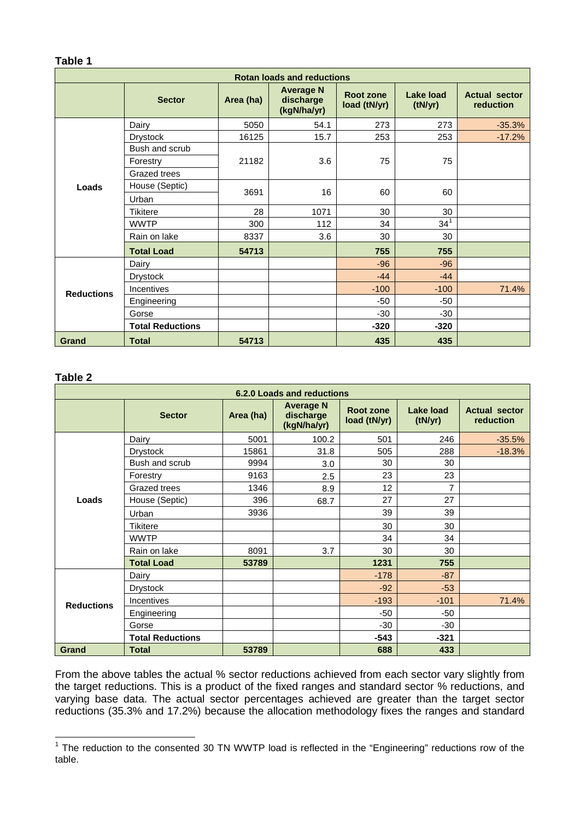| Table 1                           |                   |           |                                              |                           |                      |                                          |
|-----------------------------------|-------------------|-----------|----------------------------------------------|---------------------------|----------------------|------------------------------------------|
| <b>Rotan loads and reductions</b> |                   |           |                                              |                           |                      |                                          |
|                                   | <b>Sector</b>     | Area (ha) | <b>Average N</b><br>discharge<br>(kgN/ha/yr) | Root zone<br>load (tN/yr) | Lake load<br>(tN/yr) | <b>Actual sector</b><br><b>reduction</b> |
| Loads                             | Dairy             | 5050      | 54.1                                         | 273                       | 273                  | $-35.3%$                                 |
|                                   | <b>Drystock</b>   | 16125     | 15.7                                         | 253                       | 253                  | $-17.2%$                                 |
|                                   | Bush and scrub    |           | 3.6                                          | 75                        | 75                   |                                          |
|                                   | Forestry          | 21182     |                                              |                           |                      |                                          |
|                                   | Grazed trees      |           |                                              |                           |                      |                                          |
|                                   | House (Septic)    |           | 16                                           | 60                        | 60                   |                                          |
|                                   | Urban             | 3691      |                                              |                           |                      |                                          |
|                                   | Tikitere          | 28        | 1071                                         | 30                        | 30                   |                                          |
|                                   | <b>WWTP</b>       | 300       | 112                                          | 34                        | $34^{1}$             |                                          |
|                                   | Rain on lake      | 8337      | 3.6                                          | 30                        | 30                   |                                          |
|                                   | <b>Total Load</b> | 54713     |                                              | 755                       | 755                  |                                          |
| <b>Reductions</b>                 | Dairy             |           |                                              | $-96$                     | $-96$                |                                          |
|                                   | <b>Drystock</b>   |           |                                              | $-44$                     | $-44$                |                                          |
|                                   | <b>Incentives</b> |           |                                              | $-100$                    | $-100$               | 71.4%                                    |
|                                   | Engineering       |           |                                              | $-50$                     | -50                  |                                          |
|                                   | Gorse             |           |                                              | $-30$                     | $-30$                |                                          |

#### **Table 2**

 $\overline{1}$ 

| 6.2.0 Loads and reductions |                         |           |                                              |                           |                      |                                   |
|----------------------------|-------------------------|-----------|----------------------------------------------|---------------------------|----------------------|-----------------------------------|
|                            | <b>Sector</b>           | Area (ha) | <b>Average N</b><br>discharge<br>(kgN/ha/yr) | Root zone<br>load (tN/yr) | Lake load<br>(tN/yr) | <b>Actual sector</b><br>reduction |
| Loads                      | Dairy                   | 5001      | 100.2                                        | 501                       | 246                  | $-35.5%$                          |
|                            | <b>Drystock</b>         | 15861     | 31.8                                         | 505                       | 288                  | $-18.3%$                          |
|                            | Bush and scrub          | 9994      | 3.0                                          | 30                        | 30                   |                                   |
|                            | Forestry                | 9163      | 2.5                                          | 23                        | 23                   |                                   |
|                            | Grazed trees            | 1346      | 8.9                                          | 12                        | $\overline{7}$       |                                   |
|                            | House (Septic)          | 396       | 68.7                                         | 27                        | 27                   |                                   |
|                            | Urban                   | 3936      |                                              | 39                        | 39                   |                                   |
|                            | <b>Tikitere</b>         |           |                                              | 30                        | 30                   |                                   |
|                            | <b>WWTP</b>             |           |                                              | 34                        | 34                   |                                   |
|                            | Rain on lake            | 8091      | 3.7                                          | 30                        | 30                   |                                   |
|                            | <b>Total Load</b>       | 53789     |                                              | 1231                      | 755                  |                                   |
| <b>Reductions</b>          | Dairy                   |           |                                              | $-178$                    | $-87$                |                                   |
|                            | <b>Drystock</b>         |           |                                              | $-92$                     | $-53$                |                                   |
|                            | <b>Incentives</b>       |           |                                              | $-193$                    | $-101$               | 71.4%                             |
|                            | Engineering             |           |                                              | $-50$                     | -50                  |                                   |
|                            | Gorse                   |           |                                              | $-30$                     | $-30$                |                                   |
|                            | <b>Total Reductions</b> |           |                                              | $-543$                    | $-321$               |                                   |
| Grand                      | <b>Total</b>            | 53789     |                                              | 688                       | 433                  |                                   |

**Total Reductions**  $\begin{vmatrix} 1 & 1 & 1 \\ 1 & 1 & 1 \end{vmatrix}$  **-320** -320

**Grand Total 54713 435 435**

From the above tables the actual % sector reductions achieved from each sector vary slightly from the target reductions. This is a product of the fixed ranges and standard sector % reductions, and varying base data. The actual sector percentages achieved are greater than the target sector reductions (35.3% and 17.2%) because the allocation methodology fixes the ranges and standard

<span id="page-1-0"></span> $1$  The reduction to the consented 30 TN WWTP load is reflected in the "Engineering" reductions row of the table.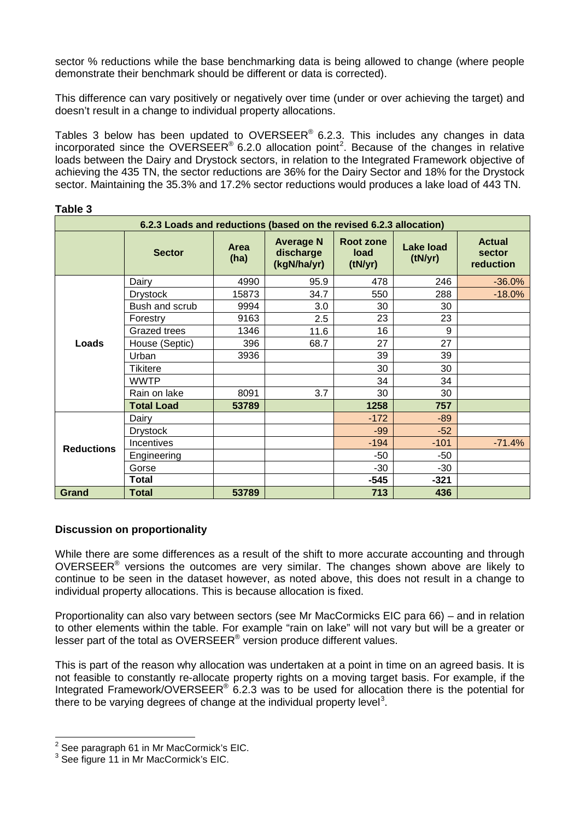sector % reductions while the base benchmarking data is being allowed to change (where people demonstrate their benchmark should be different or data is corrected).

This difference can vary positively or negatively over time (under or over achieving the target) and doesn't result in a change to individual property allocations.

Tables 3 below has been updated to OVERSEER<sup>®</sup> 6.2.3. This includes any changes in data incorporated since the OVERSEER® 6.[2](#page-2-0).0 allocation point<sup>2</sup>. Because of the changes in relative loads between the Dairy and Drystock sectors, in relation to the Integrated Framework objective of achieving the 435 TN, the sector reductions are 36% for the Dairy Sector and 18% for the Drystock sector. Maintaining the 35.3% and 17.2% sector reductions would produces a lake load of 443 TN.

| 6.2.3 Loads and reductions (based on the revised 6.2.3 allocation) |                   |              |                                              |                                     |                             |                                      |
|--------------------------------------------------------------------|-------------------|--------------|----------------------------------------------|-------------------------------------|-----------------------------|--------------------------------------|
|                                                                    | <b>Sector</b>     | Area<br>(ha) | <b>Average N</b><br>discharge<br>(kgN/ha/yr) | Root zone<br><b>load</b><br>(tN/yr) | <b>Lake load</b><br>(tN/yr) | <b>Actual</b><br>sector<br>reduction |
| Loads                                                              | Dairy             | 4990         | 95.9                                         | 478                                 | 246                         | $-36.0%$                             |
|                                                                    | <b>Drystock</b>   | 15873        | 34.7                                         | 550                                 | 288                         | $-18.0%$                             |
|                                                                    | Bush and scrub    | 9994         | 3.0                                          | 30                                  | 30                          |                                      |
|                                                                    | Forestry          | 9163         | 2.5                                          | 23                                  | 23                          |                                      |
|                                                                    | Grazed trees      | 1346         | 11.6                                         | 16                                  | 9                           |                                      |
|                                                                    | House (Septic)    | 396          | 68.7                                         | 27                                  | 27                          |                                      |
|                                                                    | Urban             | 3936         |                                              | 39                                  | 39                          |                                      |
|                                                                    | Tikitere          |              |                                              | 30                                  | 30                          |                                      |
|                                                                    | <b>WWTP</b>       |              |                                              | 34                                  | 34                          |                                      |
|                                                                    | Rain on lake      | 8091         | 3.7                                          | 30                                  | 30                          |                                      |
|                                                                    | <b>Total Load</b> | 53789        |                                              | 1258                                | 757                         |                                      |
| <b>Reductions</b>                                                  | Dairy             |              |                                              | $-172$                              | $-89$                       |                                      |
|                                                                    | <b>Drystock</b>   |              |                                              | $-99$                               | $-52$                       |                                      |
|                                                                    | Incentives        |              |                                              | $-194$                              | $-101$                      | $-71.4%$                             |
|                                                                    | Engineering       |              |                                              | $-50$                               | -50                         |                                      |
|                                                                    | Gorse             |              |                                              | $-30$                               | -30                         |                                      |
|                                                                    | <b>Total</b>      |              |                                              | $-545$                              | $-321$                      |                                      |
| <b>Grand</b>                                                       | <b>Total</b>      | 53789        |                                              | 713                                 | 436                         |                                      |

### **Table 3**

# **Discussion on proportionality**

While there are some differences as a result of the shift to more accurate accounting and through OVERSEER® versions the outcomes are very similar. The changes shown above are likely to continue to be seen in the dataset however, as noted above, this does not result in a change to individual property allocations. This is because allocation is fixed.

Proportionality can also vary between sectors (see Mr MacCormicks EIC para 66) – and in relation to other elements within the table. For example "rain on lake" will not vary but will be a greater or lesser part of the total as OVERSEER® version produce different values.

This is part of the reason why allocation was undertaken at a point in time on an agreed basis. It is not feasible to constantly re-allocate property rights on a moving target basis. For example, if the Integrated Framework/OVERSEER<sup>®</sup> 6.2.3 was to be used for allocation there is the potential for there to be varying degrees of change at the individual property level<sup>[3](#page-2-1)</sup>.

 $\overline{a}$ 

<span id="page-2-0"></span> $2^{2}$  See paragraph 61 in Mr MacCormick's EIC.

<span id="page-2-1"></span><sup>&</sup>lt;sup>3</sup> See figure 11 in Mr MacCormick's EIC.